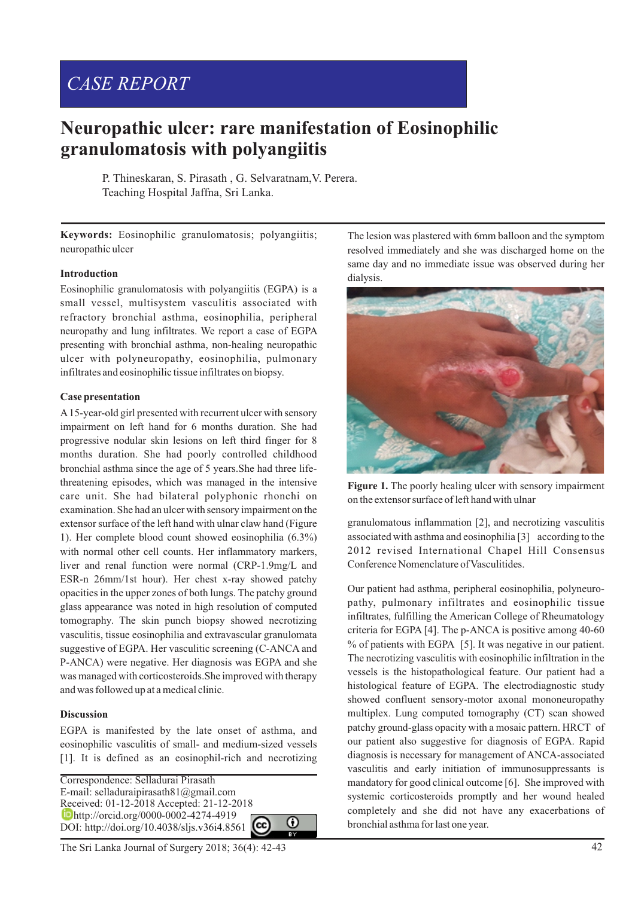# *CASE REPORT*

# **Neuropathic ulcer: rare manifestation of Eosinophilic granulomatosis with polyangiitis**

P. Thineskaran, S. Pirasath , G. Selvaratnam,V. Perera. Teaching Hospital Jaffna, Sri Lanka.

**Keywords:** Eosinophilic granulomatosis; polyangiitis; neuropathic ulcer

### **Introduction**

Eosinophilic granulomatosis with polyangiitis (EGPA) is a small vessel, multisystem vasculitis associated with refractory bronchial asthma, eosinophilia, peripheral neuropathy and lung infiltrates. We report a case of EGPA presenting with bronchial asthma, non-healing neuropathic ulcer with polyneuropathy, eosinophilia, pulmonary infiltrates and eosinophilic tissue infiltrates on biopsy.

### **Case presentation**

A15-year-old girl presented with recurrent ulcer with sensory impairment on left hand for 6 months duration. She had progressive nodular skin lesions on left third finger for 8 months duration. She had poorly controlled childhood bronchial asthma since the age of 5 years.She had three lifethreatening episodes, which was managed in the intensive care unit. She had bilateral polyphonic rhonchi on examination. She had an ulcer with sensory impairment on the extensor surface of the left hand with ulnar claw hand (Figure 1). Her complete blood count showed eosinophilia (6.3%) with normal other cell counts. Her inflammatory markers, liver and renal function were normal (CRP-1.9mg/L and ESR-n 26mm/1st hour). Her chest x-ray showed patchy opacities in the upper zones of both lungs. The patchy ground glass appearance was noted in high resolution of computed tomography. The skin punch biopsy showed necrotizing vasculitis, tissue eosinophilia and extravascular granulomata suggestive of EGPA. Her vasculitic screening (C-ANCA and P-ANCA) were negative. Her diagnosis was EGPA and she was managed with corticosteroids.She improved with therapy and was followed up at a medical clinic.

## **Discussion**

EGPA is manifested by the late onset of asthma, and eosinophilic vasculitis of small- and medium-sized vessels [1]. It is defined as an eosinophil-rich and necrotizing

Correspondence: Selladurai Pirasath E-mail: selladuraipirasath81@gmail.com Received: 01-12-2018 Accepted: 21-12-2018 http://orcid.org/0000-0002-4274-4919 0 DOI: http://doi.org/10.4038/sljs.v36i4.8561

The lesion was plastered with 6mm balloon and the symptom resolved immediately and she was discharged home on the same day and no immediate issue was observed during her dialysis.



Figure 1. The poorly healing ulcer with sensory impairment on the extensor surface of left hand with ulnar

granulomatous inflammation [2], and necrotizing vasculitis associated with asthma and eosinophilia [3] according to the 2012 revised International Chapel Hill Consensus Conference Nomenclature of Vasculitides.

Our patient had asthma, peripheral eosinophilia, polyneuropathy, pulmonary infiltrates and eosinophilic tissue infiltrates, fulfilling the American College of Rheumatology criteria for EGPA [4]. The p-ANCA is positive among 40-60 % of patients with EGPA [5]. It was negative in our patient. The necrotizing vasculitis with eosinophilic infiltration in the vessels is the histopathological feature. Our patient had a histological feature of EGPA. The electrodiagnostic study showed confluent sensory-motor axonal mononeuropathy multiplex. Lung computed tomography (CT) scan showed patchy ground-glass opacity with a mosaic pattern. HRCT of our patient also suggestive for diagnosis of EGPA. Rapid diagnosis is necessary for management of ANCA-associated vasculitis and early initiation of immunosuppressants is mandatory for good clinical outcome [6]. She improved with systemic corticosteroids promptly and her wound healed completely and she did not have any exacerbations of bronchial asthma for last one year.